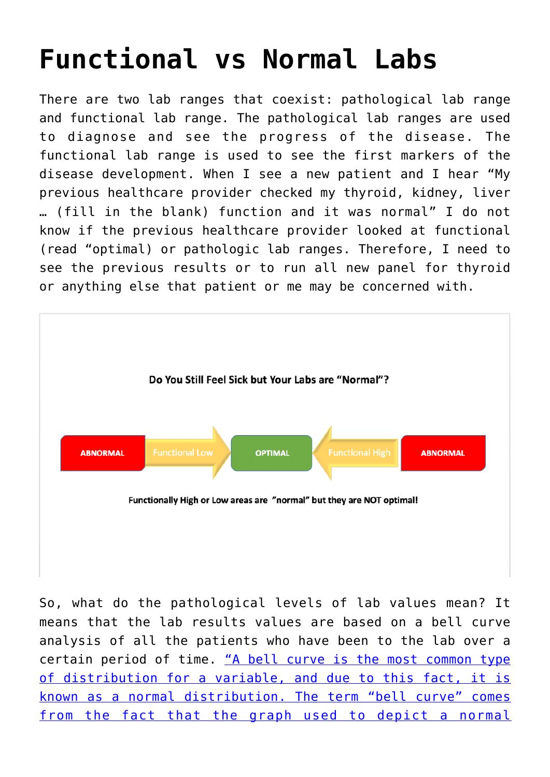## **[Functional vs Normal Labs](https://sproutshealth.com/functional-vs-normal-labs/)**

There are two lab ranges that coexist: pathological lab range and functional lab range. The pathological lab ranges are used to diagnose and see the progress of the disease. The functional lab range is used to see the first markers of the disease development. When I see a new patient and I hear "My previous healthcare provider checked my thyroid, kidney, liver … (fill in the blank) function and it was normal" I do not know if the previous healthcare provider looked at functional (read "optimal) or pathologic lab ranges. Therefore, I need to see the previous results or to run all new panel for thyroid or anything else that patient or me may be concerned with.



So, what do the pathological levels of lab values mean? It means that the lab results values are based on a bell curve analysis of all the patients who have been to the lab over a certain period of time. ["A bell curve is the most common type](https://www.investopedia.com/terms/b/bell-curve.asp) [of distribution for a variable, and due to this fact, it is](https://www.investopedia.com/terms/b/bell-curve.asp) [known as a normal distribution. The term "bell curve" comes](https://www.investopedia.com/terms/b/bell-curve.asp) [from the fact that the graph used to depict a normal](https://www.investopedia.com/terms/b/bell-curve.asp)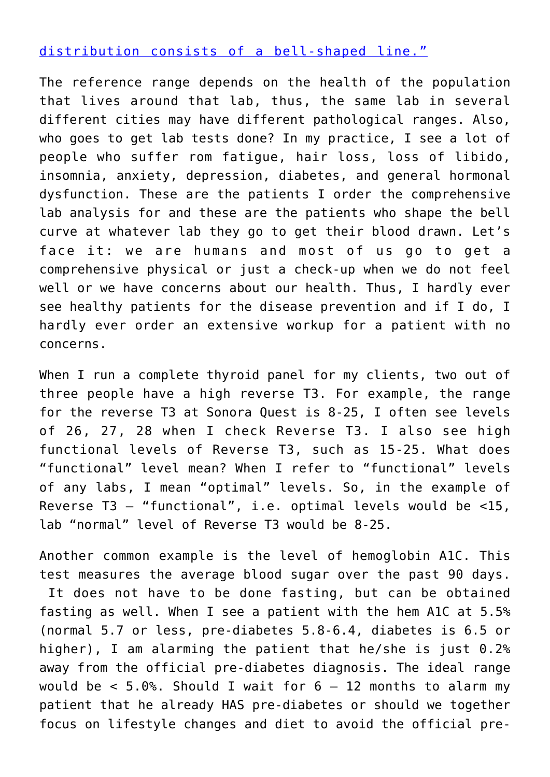## [distribution consists of a bell-shaped line."](https://www.investopedia.com/terms/b/bell-curve.asp)

The reference range depends on the health of the population that lives around that lab, thus, the same lab in several different cities may have different pathological ranges. Also, who goes to get lab tests done? In my practice, I see a lot of people who suffer rom fatigue, hair loss, loss of libido, insomnia, anxiety, depression, diabetes, and general hormonal dysfunction. These are the patients I order the comprehensive lab analysis for and these are the patients who shape the bell curve at whatever lab they go to get their blood drawn. Let's face it: we are humans and most of us go to get a comprehensive physical or just a check-up when we do not feel well or we have concerns about our health. Thus, I hardly ever see healthy patients for the disease prevention and if I do, I hardly ever order an extensive workup for a patient with no concerns.

When I run a complete thyroid panel for my clients, two out of three people have a high reverse T3. For example, the range for the reverse T3 at Sonora Quest is 8-25, I often see levels of 26, 27, 28 when I check Reverse T3. I also see high functional levels of Reverse T3, such as 15-25. What does "functional" level mean? When I refer to "functional" levels of any labs, I mean "optimal" levels. So, in the example of Reverse T3 – "functional", i.e. optimal levels would be <15, lab "normal" level of Reverse T3 would be 8-25.

Another common example is the level of hemoglobin A1C. This test measures the average blood sugar over the past 90 days. It does not have to be done fasting, but can be obtained fasting as well. When I see a patient with the hem A1C at 5.5% (normal 5.7 or less, pre-diabetes 5.8-6.4, diabetes is 6.5 or higher), I am alarming the patient that he/she is just 0.2% away from the official pre-diabetes diagnosis. The ideal range would be  $< 5.0$ %. Should I wait for  $6 - 12$  months to alarm my patient that he already HAS pre-diabetes or should we together focus on lifestyle changes and diet to avoid the official pre